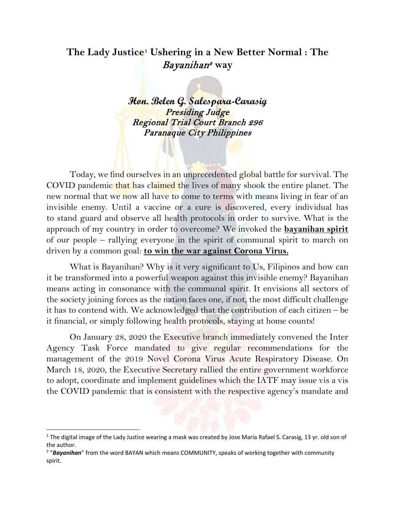## **The Lady Justice[1](#page-0-0) Ushering in a New Better Normal : The**  Bayanihan[2](#page-0-1) **way**

**Hon. Belen G. Salespara-Carasig** Presiding Judge Regional Trial Court Branch 296 Paranaque City Philippines

Today, we find ourselves in an unprecedented global battle for survival. The COVID pandemic that has claimed the lives of many shook the entire planet. The new normal that we now all have to come to terms with means living in fear of an invisible enemy. Until a vaccine or a cure is discovered, every individual has to stand guard and observe all health protocols in order to survive. What is the approach of my country in order to overcome? We invoked the **bayanihan spirit** of our people – rallying everyone in the spirit of communal spirit to march on driven by a common goal: **to win the war against Corona Virus.**

What is Bayanihan? Why is it very significant to Us, Filipinos and how can it be transformed into a powerful weapon against this invisible enemy? Bayanihan means acting in consonance with the communal spirit. It envisions all sectors of the society joining forces as the nation faces one, if not, the most difficult challenge it has to contend with. We acknowledged that the contribution of each citizen – be it financial, or simply following health protocols, staying at home counts!

On January 28, 2020 the Executive branch immediately convened the Inter Agency Task Force mandated to give regular recommendations for the management of the 2019 Novel Corona Virus Acute Respiratory Disease. On March 18, 2020, the Executive Secretary rallied the entire government workforce to adopt, coordinate and implement guidelines which the IATF may issue vis a vis the COVID pandemic that is consistent with the respective agency's mandate and

<span id="page-0-0"></span><sup>&</sup>lt;sup>1</sup> The digital image of the Lady Justice wearing a mask was created by Jose Maria Rafael S. Carasig, 13 yr. old son of the author.

<span id="page-0-1"></span><sup>&</sup>lt;sup>2</sup> "Bayanihan" from the word BAYAN which means COMMUNITY, speaks of working together with community spirit.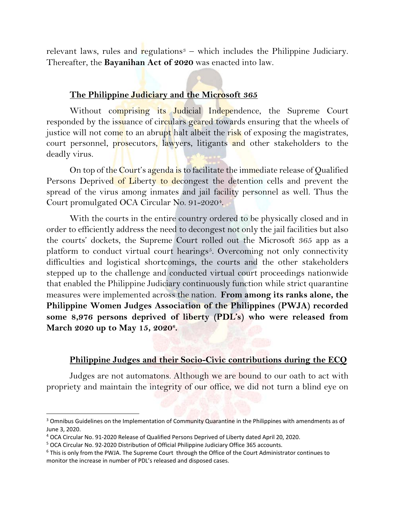relevant laws, rules and regulations<sup>[3](#page-1-0)</sup> – which includes the Philippine Judiciary. Thereafter, the **Bayanihan Act of 2020** was enacted into law.

## **The Philippine Judiciary and the Microsoft 365**

Without comprising its Judicial Independence, the Supreme Court responded by the issuance of circulars geared towards ensuring that the wheels of justice will not come to an abrupt halt albeit the risk of exposing the magistrates, court personnel, prosecutors, lawyers, litigants and other stakeholders to the deadly virus.

On top of the Court's agenda is to facilitate the immediate release of Qualified Persons Deprived of Liberty to decongest the detention cells and prevent the spread of the virus among inmates and jail facility personnel as well. Thus the Court promulgated OCA Circular No. 91-2020[4.](#page-1-1)

With the courts in the entire country ordered to be physically closed and in order to efficiently address the need to decongest not only the jail facilities but also the courts' dockets, the Supreme Court rolled out the Microsoft 365 app as a platform to conduct virtual court hearings<sup>5</sup>. Overcoming not only connectivity difficulties and logistical shortcomings, the courts and the other stakeholders stepped up to the challenge and conducted virtual court proceedings nationwide that enabled the Philippine Judiciary continuously function while strict quarantine measures were implemented across the nation. **From among its ranks alone, the Philippine Women Judges Association of the Philippines (PWJA) recorded some 8,976 persons deprived of liberty (PDL's) who were released from March 2020 up to May 15, 2020[6](#page-1-3) .**

## **Philippine Judges and their Socio-Civic contributions during the ECQ**

Judges are not automatons. Although we are bound to our oath to act with propriety and maintain the integrity of our office, we did not turn a blind eye on

<span id="page-1-0"></span><sup>&</sup>lt;sup>3</sup> Omnibus Guidelines on the Implementation of Community Quarantine in the Philippines with amendments as of June 3, 2020.

<span id="page-1-1"></span><sup>&</sup>lt;sup>4</sup> OCA Circular No. 91-2020 Release of Qualified Persons Deprived of Liberty dated April 20, 2020.<br><sup>5</sup> OCA Circular No. 92-2020 Distribution of Official Philippine Judiciary Office 365 accounts.

<span id="page-1-2"></span>

<span id="page-1-3"></span><sup>6</sup> This is only from the PWJA. The Supreme Court through the Office of the Court Administrator continues to monitor the increase in number of PDL's released and disposed cases.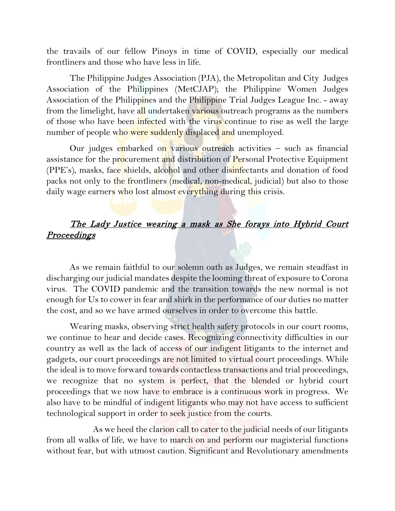the travails of our fellow Pinoys in time of COVID, especially our medical frontliners and those who have less in life.

The Philippine Judges Association (PJA), the Metropolitan and City Judges Association of the Philippines (MetCJAP); the Philippine Women Judges Association of the Philippines and the Philippine Trial Judges League Inc. - away from the limelight, have all undertaken various outreach programs as the numbers of those who have been infected with the virus continue to rise as well the large number of people who were suddenly displaced and unemployed.

Our judges embarked on various outreach activities  $-$  such as financial assistance for the procurement and distribution of Personal Protective Equipment (PPE's), masks, face shields, alcohol and other disinfectants and donation of food packs not only to the frontliners (medical, non-medical, judicial) but also to those daily wage earners who lost almost everything during this crisis.

## The Lady Justice wearing a mask as She forays into Hybrid Court **Proceedings**

As we remain faithful to our solemn oath as Judges, we remain steadfast in discharging our judicial mandates despite the looming threat of exposure to Corona virus. The COVID pandemic and the transition towards the new normal is not enough for Us to cower in fear and shirk in the performance of our duties no matter the cost, and so we have armed ourselves in order to overcome this battle.

Wearing masks, observing strict health safety protocols in our court rooms, we continue to hear and decide cases. Recognizing connectivity difficulties in our country as well as the lack of access of our indigent litigants to the internet and gadgets, our court proceedings are not limited to virtual court proceedings. While the ideal is to move forward towards contactless transactions and trial proceedings, we recognize that no system is perfect, that the blended or hybrid court proceedings that we now have to embrace is a continuous work in progress. We also have to be mindful of indigent litigants who may not have access to sufficient technological support in order to seek justice from the courts.

As we heed the clarion call to cater to the judicial needs of our litigants from all walks of life, we have to march on and perform our magisterial functions without fear, but with utmost caution. Significant and Revolutionary amendments